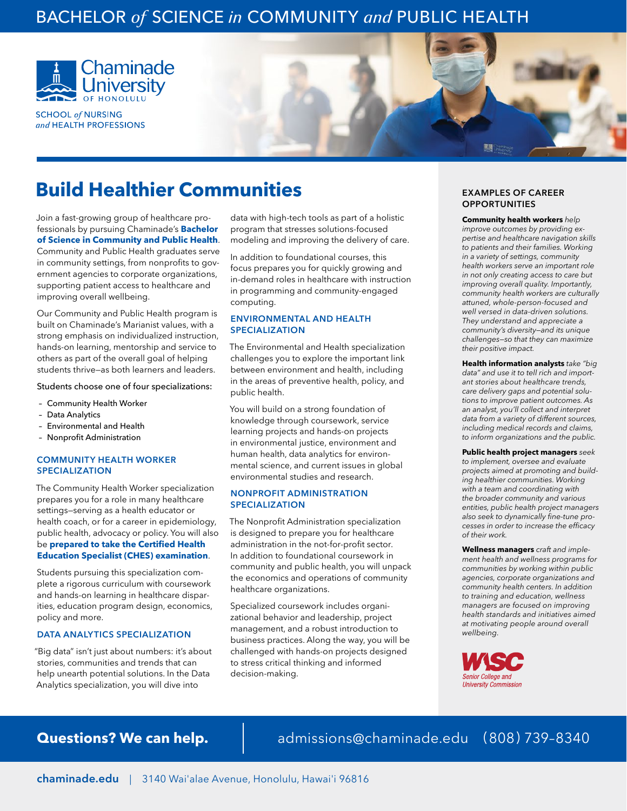### BACHELOR *of* SCIENCE *in* COMMUNITY *and* PUBLIC HEALTH



Join a fast-growing group of healthcare pro-

Community and Public Health graduates serve in community settings, from nonprofits to government agencies to corporate organizations, supporting patient access to healthcare and

Our Community and Public Health program is built on Chaminade's Marianist values, with a strong emphasis on individualized instruction, hands-on learning, mentorship and service to others as part of the overall goal of helping students thrive—as both learners and leaders. Students choose one of four specializations:

**SCHOOL of NURSING** and HEALTH PROFESSIONS

improving overall wellbeing.

– Community Health Worker

 – Environmental and Health – Nonprofit Administration

COMMUNITY HEALTH WORKER

The Community Health Worker specialization prepares you for a role in many healthcare settings—serving as a health educator or health coach, or for a career in epidemiology, public health, advocacy or policy. You will also be **prepared to take the Certified Health Education Specialist (CHES) examination**. Students pursuing this specialization complete a rigorous curriculum with coursework and hands-on learning in healthcare disparities, education program design, economics,

– Data Analytics

SPECIALIZATION

policy and more.



In addition to foundational courses, this focus prepares you for quickly growing and in-demand roles in healthcare with instruction in programming and community-engaged computing.

#### ENVIRONMENTAL AND HEALTH SPECIALIZATION

The Environmental and Health specialization challenges you to explore the important link between environment and health, including in the areas of preventive health, policy, and public health.

You will build on a strong foundation of knowledge through coursework, service learning projects and hands-on projects in environmental justice, environment and human health, data analytics for environmental science, and current issues in global environmental studies and research.

#### NONPROFIT ADMINISTRATION SPECIALIZATION

The Nonprofit Administration specialization is designed to prepare you for healthcare administration in the not-for-profit sector. In addition to foundational coursework in community and public health, you will unpack the economics and operations of community healthcare organizations.

Specialized coursework includes organizational behavior and leadership, project management, and a robust introduction to business practices. Along the way, you will be challenged with hands-on projects designed to stress critical thinking and informed decision-making.

### **Build Healthier Communities OPPORTUNITIES**

#### **Community health workers** *help*

*improve outcomes by providing expertise and healthcare navigation skills to patients and their families. Working in a variety of settings, community health workers serve an important role in not only creating access to care but improving overall quality. Importantly, community health workers are culturally attuned, whole-person-focused and well versed in data-driven solutions. They understand and appreciate a community's diversity—and its unique challenges—so that they can maximize their positive impact.*

**Health information analysts** *take "big data" and use it to tell rich and important stories about healthcare trends, care delivery gaps and potential solutions to improve patient outcomes. As an analyst, you'll collect and interpret data from a variety of different sources, including medical records and claims, to inform organizations and the public.*

**Public health project managers** *seek to implement, oversee and evaluate projects aimed at promoting and building healthier communities. Working with a team and coordinating with the broader community and various entities, public health project managers*  also seek to dynamically fine-tune processes in order to increase the efficacy *of their work.*

**Wellness managers** *craft and implement health and wellness programs for communities by working within public agencies, corporate organizations and community health centers. In addition to training and education, wellness managers are focused on improving health standards and initiatives aimed at motivating people around overall wellbeing.*



DATA ANALYTICS SPECIALIZATION "Big data" isn't just about numbers: it's about stories, communities and trends that can help unearth potential solutions. In the Data Analytics specialization, you will dive into

**Questions? We can help.** admissions@chaminade.edu (808) 739-8340